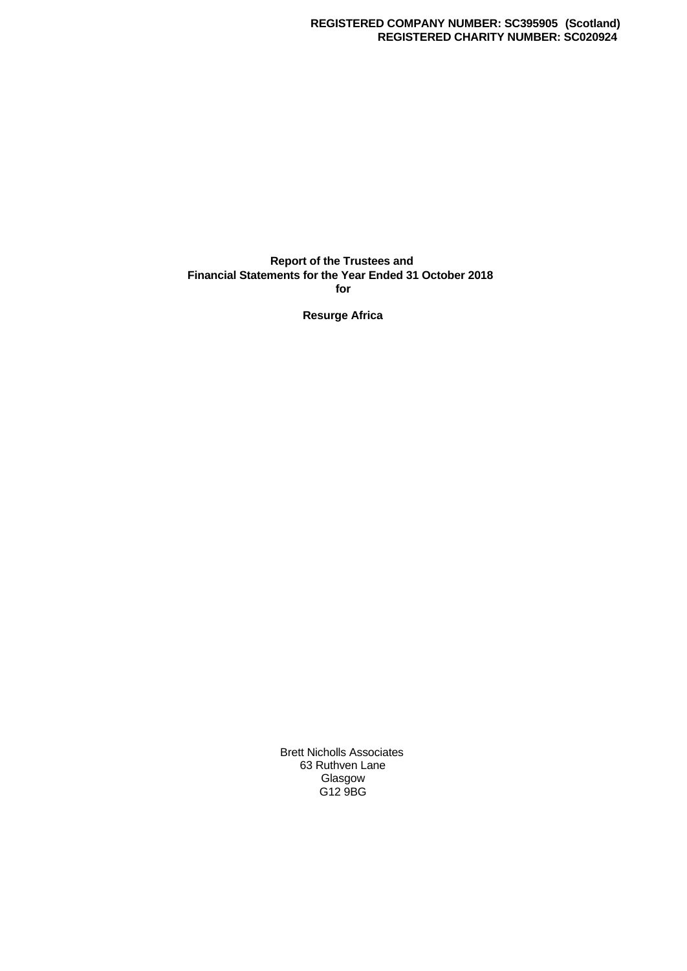#### **Report of the Trustees and Financial Statements for the Year Ended 31 October 2018 for**

**Resurge Africa**

Brett Nicholls Associates 63 Ruthven Lane Glasgow G12 9BG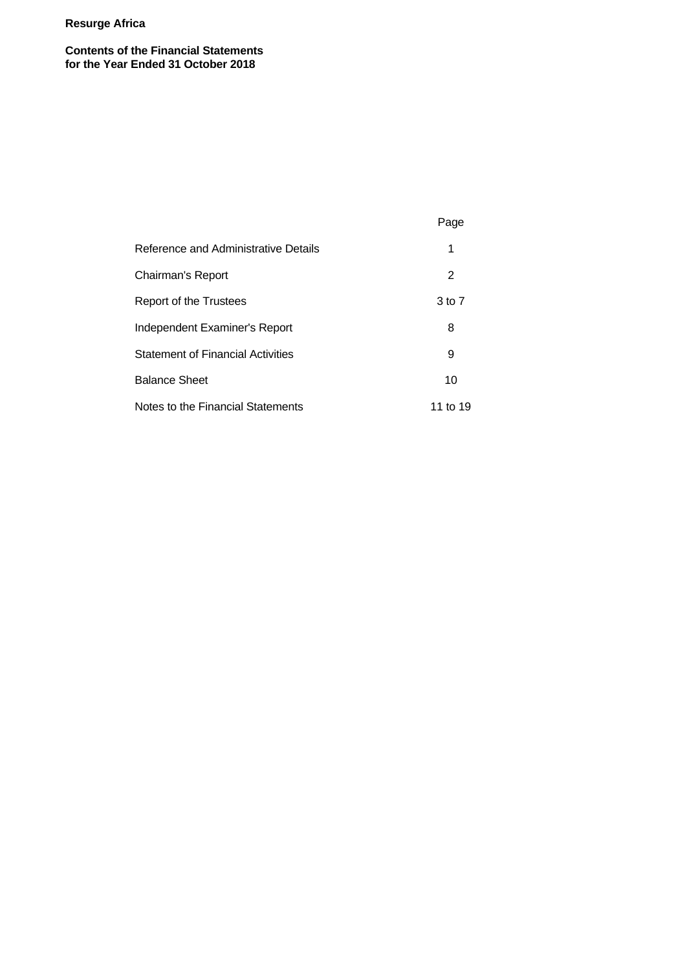**Contents of the Financial Statements for the Year Ended 31 October 2018**

|                                          | Page     |  |
|------------------------------------------|----------|--|
| Reference and Administrative Details     | 1        |  |
| Chairman's Report                        | 2        |  |
| Report of the Trustees                   | 3 to 7   |  |
| Independent Examiner's Report            | 8        |  |
| <b>Statement of Financial Activities</b> | 9        |  |
| <b>Balance Sheet</b>                     | 10       |  |
| Notes to the Financial Statements        | 11 to 19 |  |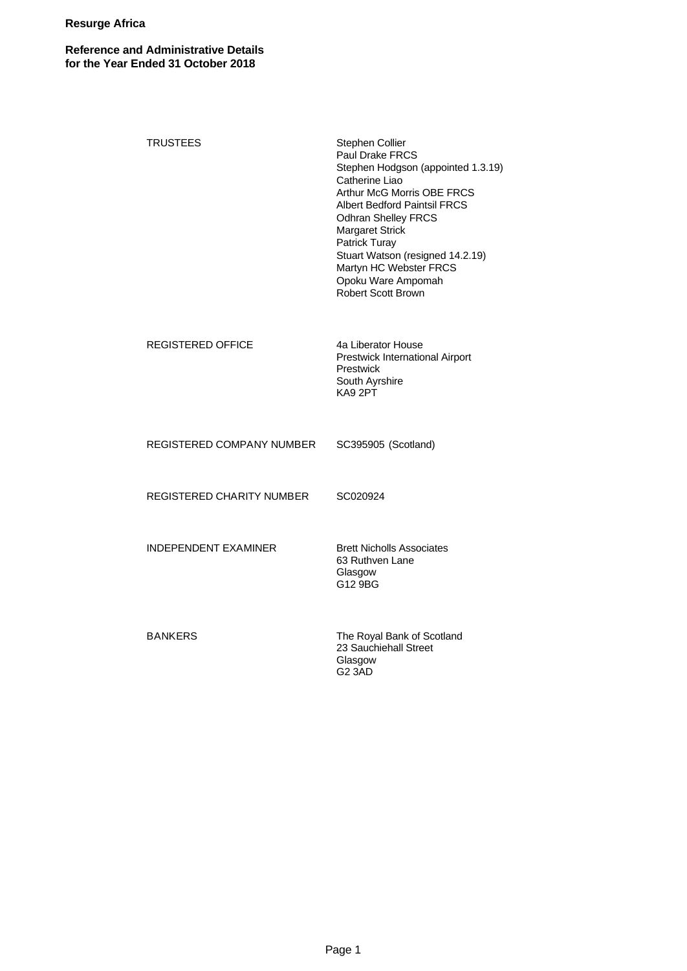# **Reference and Administrative Details for the Year Ended 31 October 2018**

| <b>TRUSTEES</b>             | Stephen Collier<br>Paul Drake FRCS<br>Stephen Hodgson (appointed 1.3.19)<br>Catherine Liao<br>Arthur McG Morris OBE FRCS<br><b>Albert Bedford Paintsil FRCS</b><br><b>Odhran Shelley FRCS</b><br>Margaret Strick<br>Patrick Turay<br>Stuart Watson (resigned 14.2.19)<br>Martyn HC Webster FRCS<br>Opoku Ware Ampomah<br><b>Robert Scott Brown</b> |
|-----------------------------|----------------------------------------------------------------------------------------------------------------------------------------------------------------------------------------------------------------------------------------------------------------------------------------------------------------------------------------------------|
| <b>REGISTERED OFFICE</b>    | 4a Liberator House<br>Prestwick International Airport<br>Prestwick<br>South Ayrshire<br>KA9 2PT                                                                                                                                                                                                                                                    |
| REGISTERED COMPANY NUMBER   | SC395905 (Scotland)                                                                                                                                                                                                                                                                                                                                |
| REGISTERED CHARITY NUMBER   | SC020924                                                                                                                                                                                                                                                                                                                                           |
| <b>INDEPENDENT EXAMINER</b> | <b>Brett Nicholls Associates</b><br>63 Ruthven Lane<br>Glasgow<br>G12 9BG                                                                                                                                                                                                                                                                          |
| <b>BANKERS</b>              | The Royal Bank of Scotland<br>23 Sauchiehall Street<br>Glasgow<br>G <sub>2</sub> 3AD                                                                                                                                                                                                                                                               |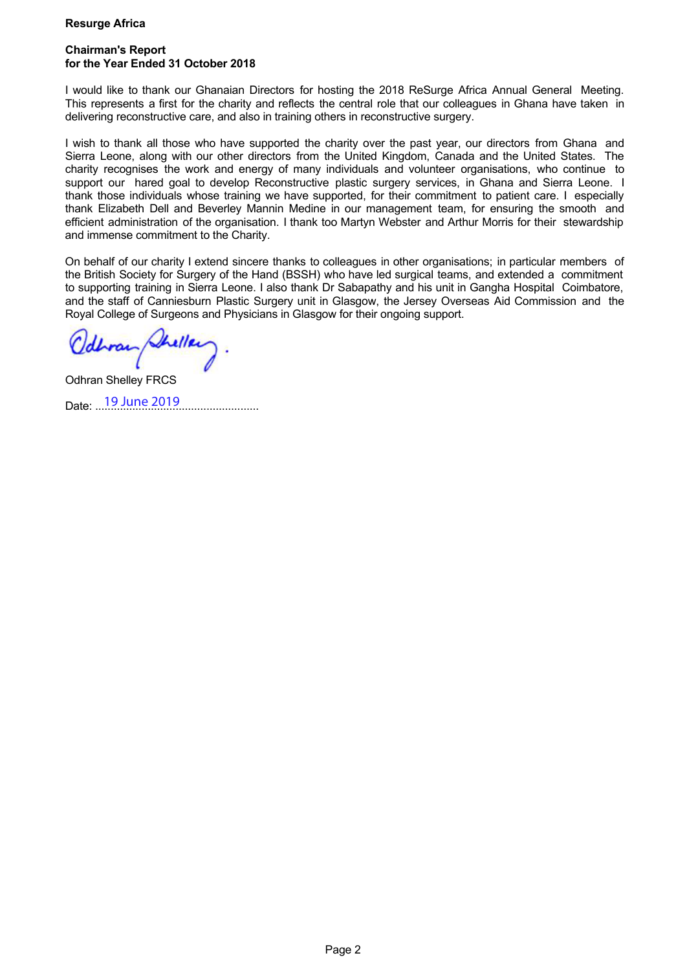# **Chairman's Report for the Year Ended 31 October 2018**

I would like to thank our Ghanaian Directors for hosting the 2018 ReSurge Africa Annual General Meeting. This represents a first for the charity and reflects the central role that our colleagues in Ghana have taken in delivering reconstructive care, and also in training others in reconstructive surgery.

I wish to thank all those who have supported the charity over the past year, our directors from Ghana and Sierra Leone, along with our other directors from the United Kingdom, Canada and the United States. The charity recognises the work and energy of many individuals and volunteer organisations, who continue to support our hared goal to develop Reconstructive plastic surgery services, in Ghana and Sierra Leone. I thank those individuals whose training we have supported, for their commitment to patient care. I especially thank Elizabeth Dell and Beverley Mannin Medine in our management team, for ensuring the smooth and efficient administration of the organisation. I thank too Martyn Webster and Arthur Morris for their stewardship and immense commitment to the Charity.

On behalf of our charity I extend sincere thanks to colleagues in other organisations; in particular members of the British Society for Surgery of the Hand (BSSH) who have led surgical teams, and extended a commitment to supporting training in Sierra Leone. I also thank Dr Sabapathy and his unit in Gangha Hospital Coimbatore, and the staff of Canniesburn Plastic Surgery unit in Glasgow, the Jersey Overseas Aid Commission and the Royal College of Surgeons and Physicians in Glasgow for their ongoing support.

...................................................................................

Odhran Shelley FRCS Date: ...<sup>19</sup> June 2019 ..........................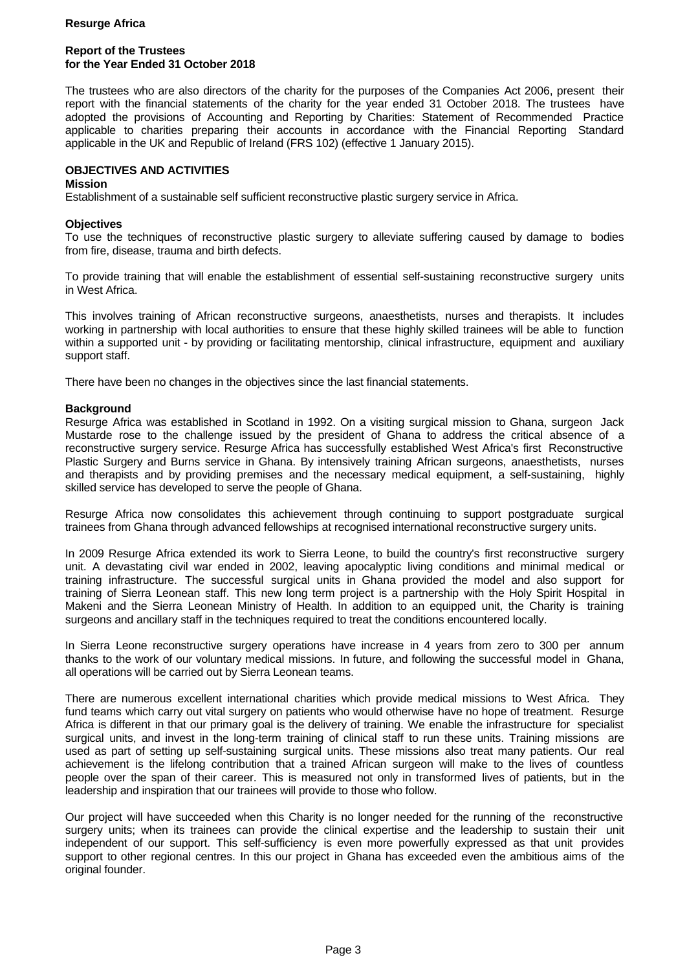# **Report of the Trustees for the Year Ended 31 October 2018**

The trustees who are also directors of the charity for the purposes of the Companies Act 2006, present their report with the financial statements of the charity for the year ended 31 October 2018. The trustees have adopted the provisions of Accounting and Reporting by Charities: Statement of Recommended Practice applicable to charities preparing their accounts in accordance with the Financial Reporting Standard applicable in the UK and Republic of Ireland (FRS 102) (effective 1 January 2015).

# **OBJECTIVES AND ACTIVITIES**

#### **Mission**

Establishment of a sustainable self sufficient reconstructive plastic surgery service in Africa.

### **Objectives**

To use the techniques of reconstructive plastic surgery to alleviate suffering caused by damage to bodies from fire, disease, trauma and birth defects.

To provide training that will enable the establishment of essential self-sustaining reconstructive surgery units in West Africa.

This involves training of African reconstructive surgeons, anaesthetists, nurses and therapists. It includes working in partnership with local authorities to ensure that these highly skilled trainees will be able to function within a supported unit - by providing or facilitating mentorship, clinical infrastructure, equipment and auxiliary support staff.

There have been no changes in the objectives since the last financial statements.

# **Background**

Resurge Africa was established in Scotland in 1992. On a visiting surgical mission to Ghana, surgeon Jack Mustarde rose to the challenge issued by the president of Ghana to address the critical absence of a reconstructive surgery service. Resurge Africa has successfully established West Africa's first Reconstructive Plastic Surgery and Burns service in Ghana. By intensively training African surgeons, anaesthetists, nurses and therapists and by providing premises and the necessary medical equipment, a self-sustaining, highly skilled service has developed to serve the people of Ghana.

Resurge Africa now consolidates this achievement through continuing to support postgraduate surgical trainees from Ghana through advanced fellowships at recognised international reconstructive surgery units.

In 2009 Resurge Africa extended its work to Sierra Leone, to build the country's first reconstructive surgery unit. A devastating civil war ended in 2002, leaving apocalyptic living conditions and minimal medical or training infrastructure. The successful surgical units in Ghana provided the model and also support for training of Sierra Leonean staff. This new long term project is a partnership with the Holy Spirit Hospital in Makeni and the Sierra Leonean Ministry of Health. In addition to an equipped unit, the Charity is training surgeons and ancillary staff in the techniques required to treat the conditions encountered locally.

In Sierra Leone reconstructive surgery operations have increase in 4 years from zero to 300 per annum thanks to the work of our voluntary medical missions. In future, and following the successful model in Ghana, all operations will be carried out by Sierra Leonean teams.

There are numerous excellent international charities which provide medical missions to West Africa. They fund teams which carry out vital surgery on patients who would otherwise have no hope of treatment. Resurge Africa is different in that our primary goal is the delivery of training. We enable the infrastructure for specialist surgical units, and invest in the long-term training of clinical staff to run these units. Training missions are used as part of setting up self-sustaining surgical units. These missions also treat many patients. Our real achievement is the lifelong contribution that a trained African surgeon will make to the lives of countless people over the span of their career. This is measured not only in transformed lives of patients, but in the leadership and inspiration that our trainees will provide to those who follow.

Our project will have succeeded when this Charity is no longer needed for the running of the reconstructive surgery units; when its trainees can provide the clinical expertise and the leadership to sustain their unit independent of our support. This self-sufficiency is even more powerfully expressed as that unit provides support to other regional centres. In this our project in Ghana has exceeded even the ambitious aims of the original founder.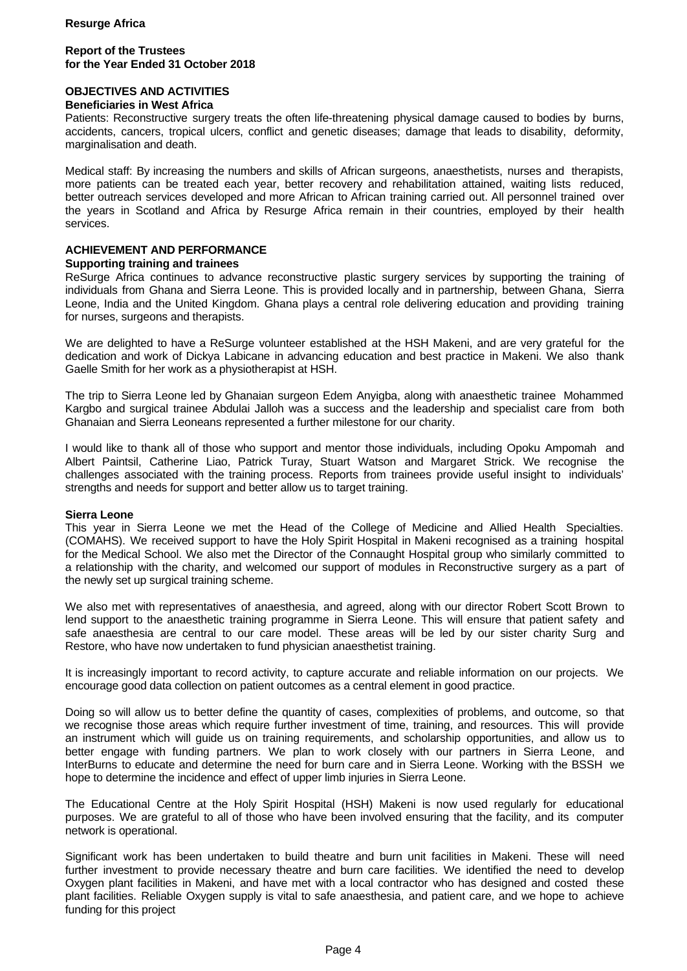# **Report of the Trustees for the Year Ended 31 October 2018**

# **OBJECTIVES AND ACTIVITIES**

#### **Beneficiaries in West Africa**

Patients: Reconstructive surgery treats the often life-threatening physical damage caused to bodies by burns, accidents, cancers, tropical ulcers, conflict and genetic diseases; damage that leads to disability, deformity, marginalisation and death.

Medical staff: By increasing the numbers and skills of African surgeons, anaesthetists, nurses and therapists, more patients can be treated each year, better recovery and rehabilitation attained, waiting lists reduced, better outreach services developed and more African to African training carried out. All personnel trained over the years in Scotland and Africa by Resurge Africa remain in their countries, employed by their health services.

# **ACHIEVEMENT AND PERFORMANCE**

#### **Supporting training and trainees**

ReSurge Africa continues to advance reconstructive plastic surgery services by supporting the training of individuals from Ghana and Sierra Leone. This is provided locally and in partnership, between Ghana, Sierra Leone, India and the United Kingdom. Ghana plays a central role delivering education and providing training for nurses, surgeons and therapists.

We are delighted to have a ReSurge volunteer established at the HSH Makeni, and are very grateful for the dedication and work of Dickya Labicane in advancing education and best practice in Makeni. We also thank Gaelle Smith for her work as a physiotherapist at HSH.

The trip to Sierra Leone led by Ghanaian surgeon Edem Anyigba, along with anaesthetic trainee Mohammed Kargbo and surgical trainee Abdulai Jalloh was a success and the leadership and specialist care from both Ghanaian and Sierra Leoneans represented a further milestone for our charity.

I would like to thank all of those who support and mentor those individuals, including Opoku Ampomah and Albert Paintsil, Catherine Liao, Patrick Turay, Stuart Watson and Margaret Strick. We recognise the challenges associated with the training process. Reports from trainees provide useful insight to individuals' strengths and needs for support and better allow us to target training.

#### **Sierra Leone**

This year in Sierra Leone we met the Head of the College of Medicine and Allied Health Specialties. (COMAHS). We received support to have the Holy Spirit Hospital in Makeni recognised as a training hospital for the Medical School. We also met the Director of the Connaught Hospital group who similarly committed to a relationship with the charity, and welcomed our support of modules in Reconstructive surgery as a part of the newly set up surgical training scheme.

We also met with representatives of anaesthesia, and agreed, along with our director Robert Scott Brown to lend support to the anaesthetic training programme in Sierra Leone. This will ensure that patient safety and safe anaesthesia are central to our care model. These areas will be led by our sister charity Surg and Restore, who have now undertaken to fund physician anaesthetist training.

It is increasingly important to record activity, to capture accurate and reliable information on our projects. We encourage good data collection on patient outcomes as a central element in good practice.

Doing so will allow us to better define the quantity of cases, complexities of problems, and outcome, so that we recognise those areas which require further investment of time, training, and resources. This will provide an instrument which will guide us on training requirements, and scholarship opportunities, and allow us to better engage with funding partners. We plan to work closely with our partners in Sierra Leone, and InterBurns to educate and determine the need for burn care and in Sierra Leone. Working with the BSSH we hope to determine the incidence and effect of upper limb injuries in Sierra Leone.

The Educational Centre at the Holy Spirit Hospital (HSH) Makeni is now used regularly for educational purposes. We are grateful to all of those who have been involved ensuring that the facility, and its computer network is operational.

Significant work has been undertaken to build theatre and burn unit facilities in Makeni. These will need further investment to provide necessary theatre and burn care facilities. We identified the need to develop Oxygen plant facilities in Makeni, and have met with a local contractor who has designed and costed these plant facilities. Reliable Oxygen supply is vital to safe anaesthesia, and patient care, and we hope to achieve funding for this project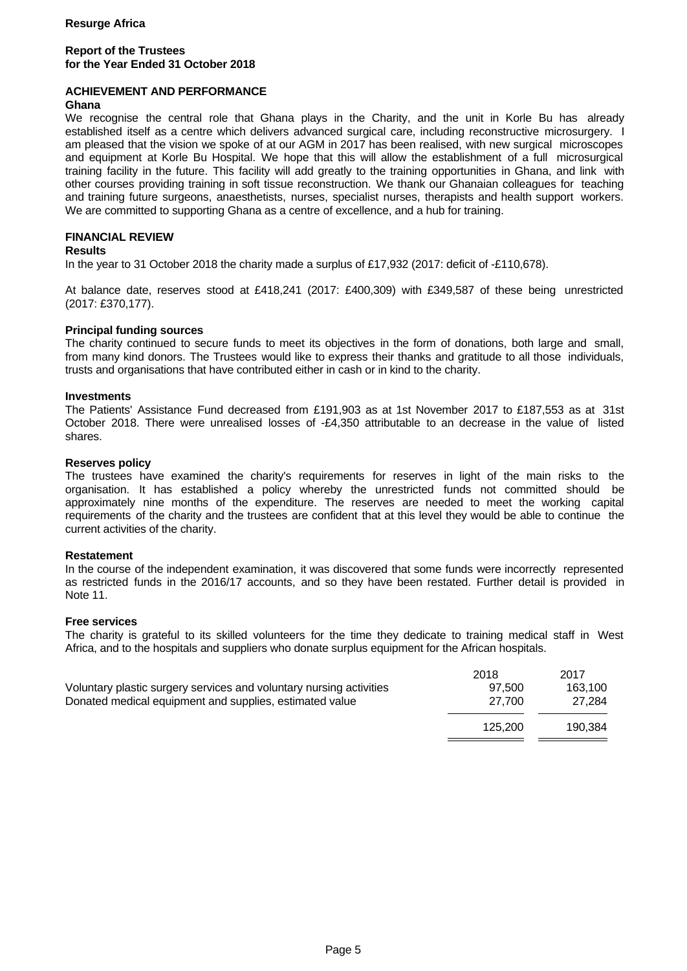# **Report of the Trustees for the Year Ended 31 October 2018**

# **ACHIEVEMENT AND PERFORMANCE**

#### **Ghana**

We recognise the central role that Ghana plays in the Charity, and the unit in Korle Bu has already established itself as a centre which delivers advanced surgical care, including reconstructive microsurgery. I am pleased that the vision we spoke of at our AGM in 2017 has been realised, with new surgical microscopes and equipment at Korle Bu Hospital. We hope that this will allow the establishment of a full microsurgical training facility in the future. This facility will add greatly to the training opportunities in Ghana, and link with other courses providing training in soft tissue reconstruction. We thank our Ghanaian colleagues for teaching and training future surgeons, anaesthetists, nurses, specialist nurses, therapists and health support workers. We are committed to supporting Ghana as a centre of excellence, and a hub for training.

# **FINANCIAL REVIEW**

# **Results**

In the year to 31 October 2018 the charity made a surplus of £17,932 (2017: deficit of -£110,678).

At balance date, reserves stood at £418,241 (2017: £400,309) with £349,587 of these being unrestricted (2017: £370,177).

# **Principal funding sources**

The charity continued to secure funds to meet its objectives in the form of donations, both large and small, from many kind donors. The Trustees would like to express their thanks and gratitude to all those individuals, trusts and organisations that have contributed either in cash or in kind to the charity.

#### **Investments**

The Patients' Assistance Fund decreased from £191,903 as at 1st November 2017 to £187,553 as at 31st October 2018. There were unrealised losses of -£4,350 attributable to an decrease in the value of listed shares.

#### **Reserves policy**

The trustees have examined the charity's requirements for reserves in light of the main risks to the organisation. It has established a policy whereby the unrestricted funds not committed should be approximately nine months of the expenditure. The reserves are needed to meet the working capital requirements of the charity and the trustees are confident that at this level they would be able to continue the current activities of the charity.

#### **Restatement**

In the course of the independent examination, it was discovered that some funds were incorrectly represented as restricted funds in the 2016/17 accounts, and so they have been restated. Further detail is provided in Note 11.

#### **Free services**

The charity is grateful to its skilled volunteers for the time they dedicate to training medical staff in West Africa, and to the hospitals and suppliers who donate surplus equipment for the African hospitals.

|                                                                     | 2018    | 2017    |
|---------------------------------------------------------------------|---------|---------|
| Voluntary plastic surgery services and voluntary nursing activities | 97.500  | 163.100 |
| Donated medical equipment and supplies, estimated value             | 27.700  | 27.284  |
|                                                                     | 125.200 | 190.384 |
|                                                                     |         |         |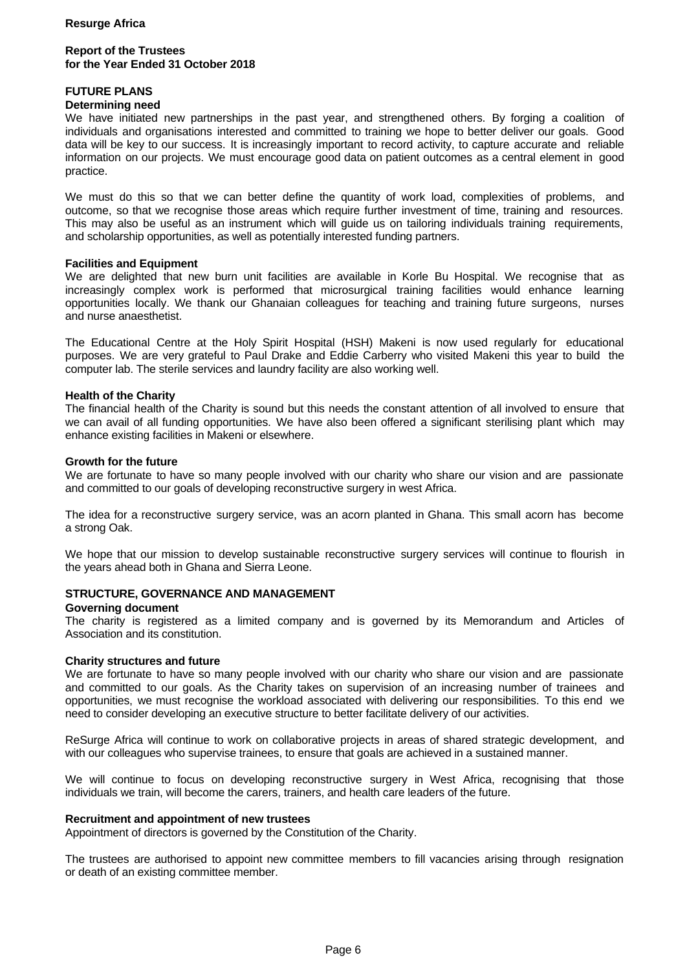## **Report of the Trustees for the Year Ended 31 October 2018**

# **FUTURE PLANS**

#### **Determining need**

We have initiated new partnerships in the past year, and strengthened others. By forging a coalition of individuals and organisations interested and committed to training we hope to better deliver our goals. Good data will be key to our success. It is increasingly important to record activity, to capture accurate and reliable information on our projects. We must encourage good data on patient outcomes as a central element in good practice.

We must do this so that we can better define the quantity of work load, complexities of problems, and outcome, so that we recognise those areas which require further investment of time, training and resources. This may also be useful as an instrument which will guide us on tailoring individuals training requirements, and scholarship opportunities, as well as potentially interested funding partners.

#### **Facilities and Equipment**

We are delighted that new burn unit facilities are available in Korle Bu Hospital. We recognise that as increasingly complex work is performed that microsurgical training facilities would enhance learning opportunities locally. We thank our Ghanaian colleagues for teaching and training future surgeons, nurses and nurse anaesthetist.

The Educational Centre at the Holy Spirit Hospital (HSH) Makeni is now used regularly for educational purposes. We are very grateful to Paul Drake and Eddie Carberry who visited Makeni this year to build the computer lab. The sterile services and laundry facility are also working well.

#### **Health of the Charity**

The financial health of the Charity is sound but this needs the constant attention of all involved to ensure that we can avail of all funding opportunities. We have also been offered a significant sterilising plant which may enhance existing facilities in Makeni or elsewhere.

#### **Growth for the future**

We are fortunate to have so many people involved with our charity who share our vision and are passionate and committed to our goals of developing reconstructive surgery in west Africa.

The idea for a reconstructive surgery service, was an acorn planted in Ghana. This small acorn has become a strong Oak.

We hope that our mission to develop sustainable reconstructive surgery services will continue to flourish in the years ahead both in Ghana and Sierra Leone.

# **STRUCTURE, GOVERNANCE AND MANAGEMENT**

#### **Governing document**

The charity is registered as a limited company and is governed by its Memorandum and Articles of Association and its constitution.

#### **Charity structures and future**

We are fortunate to have so many people involved with our charity who share our vision and are passionate and committed to our goals. As the Charity takes on supervision of an increasing number of trainees and opportunities, we must recognise the workload associated with delivering our responsibilities. To this end we need to consider developing an executive structure to better facilitate delivery of our activities.

ReSurge Africa will continue to work on collaborative projects in areas of shared strategic development, and with our colleagues who supervise trainees, to ensure that goals are achieved in a sustained manner.

We will continue to focus on developing reconstructive surgery in West Africa, recognising that those individuals we train, will become the carers, trainers, and health care leaders of the future.

#### **Recruitment and appointment of new trustees**

Appointment of directors is governed by the Constitution of the Charity.

The trustees are authorised to appoint new committee members to fill vacancies arising through resignation or death of an existing committee member.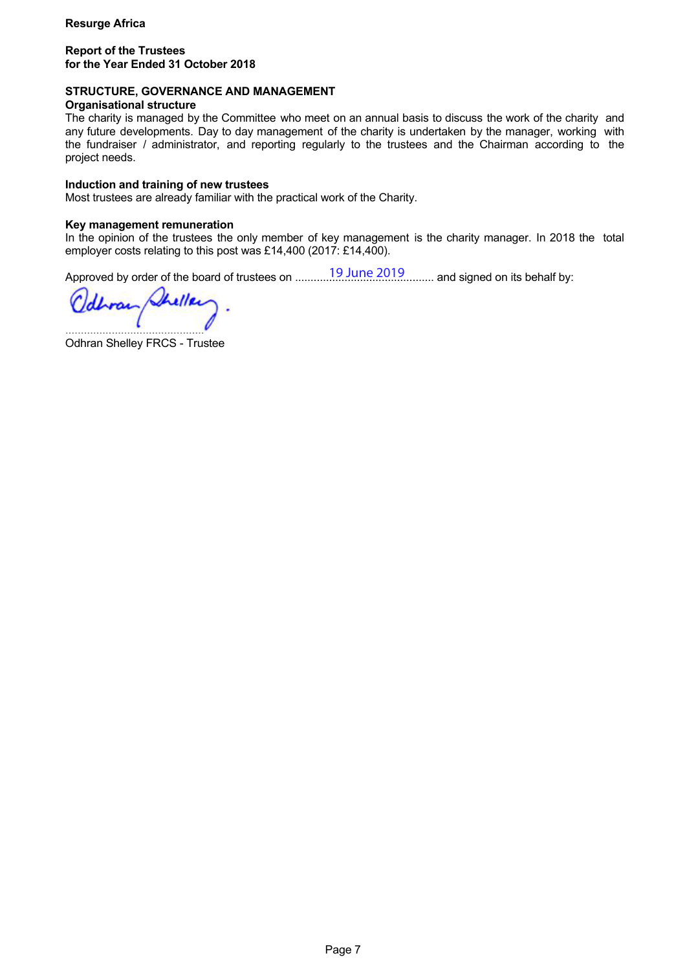### **Report of the Trustees for the Year Ended 31 October 2018**

# **STRUCTURE, GOVERNANCE AND MANAGEMENT**

#### **Organisational structure**

The charity is managed by the Committee who meet on an annual basis to discuss the work of the charity and any future developments. Day to day management of the charity is undertaken by the manager, working with the fundraiser / administrator, and reporting regularly to the trustees and the Chairman according to the project needs.

#### **Induction and training of new trustees**

Most trustees are already familiar with the practical work of the Charity.

#### **Key management remuneration**

In the opinion of the trustees the only member of key management is the charity manager. In 2018 the total employer costs relating to this post was £14,400 (2017: £14,400).

Approved by order of the board of trustees on ............................................. and signed on its behalf by: 19 June 2019

heller Urrai .............................................

Odhran Shelley FRCS - Trustee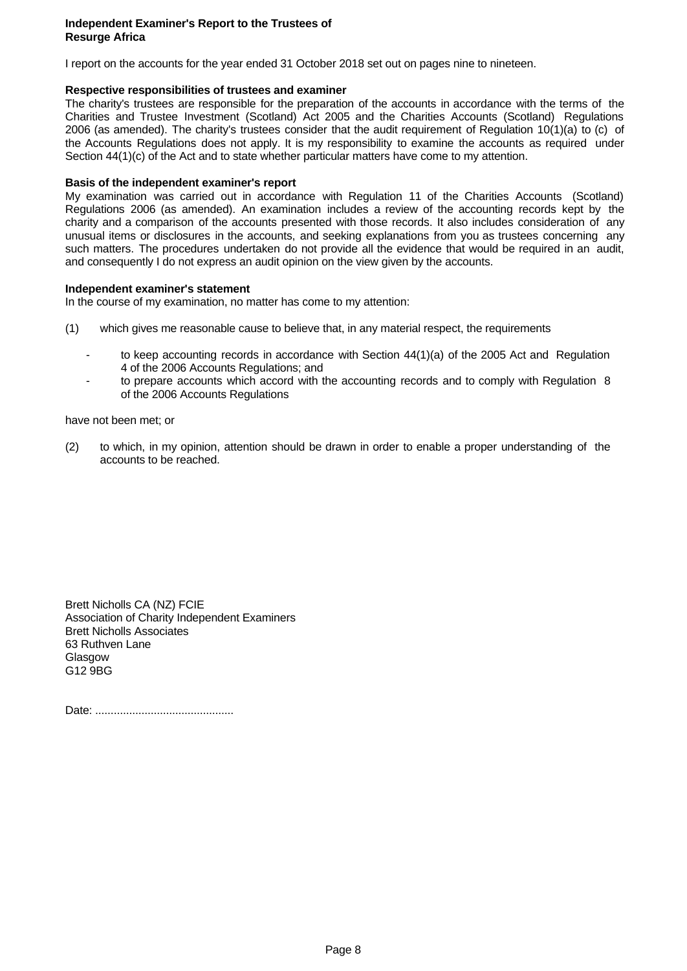#### **Independent Examiner's Report to the Trustees of Resurge Africa**

I report on the accounts for the year ended 31 October 2018 set out on pages nine to nineteen.

# **Respective responsibilities of trustees and examiner**

The charity's trustees are responsible for the preparation of the accounts in accordance with the terms of the Charities and Trustee Investment(Scotland) Act 2005 and the Charities Accounts (Scotland) Regulations 2006 (as amended). The charity's trustees consider that the audit requirement of Regulation 10(1)(a) to (c) of the Accounts Regulations does not apply. It is my responsibility to examine the accounts as required under Section 44(1)(c) of the Act and to state whether particular matters have come to my attention.

# **Basis of the independent examiner's report**

My examination was carried out in accordance with Regulation 11 of the Charities Accounts (Scotland) Regulations 2006 (as amended). An examination includes a review of the accounting records kept by the charity and a comparison of the accounts presented with those records. It also includes consideration of any unusual items or disclosures in the accounts, and seeking explanations from you as trustees concerning any such matters. The procedures undertaken do not provide all the evidence that would be required in an audit, and consequently I do not express an audit opinion on the view given by the accounts.

# **Independent examiner's statement**

In the course of my examination, no matter has come to my attention:

- (1) which gives me reasonable cause to believe that, in any material respect, the requirements
	- to keep accounting records in accordance with Section 44(1)(a) of the 2005 Act and Regulation 4 of the 2006 Accounts Regulations; and
	- to prepare accounts which accord with the accounting records and to comply with Regulation 8 of the 2006 Accounts Regulations

have not been met; or

(2) to which, in my opinion, attention should be drawn in order to enable a proper understanding of the accounts to be reached.

Brett Nicholls CA (NZ) FCIE Association of Charity Independent Examiners Brett Nicholls Associates 63 Ruthven Lane Glasgow G12 9BG

Date: .............................................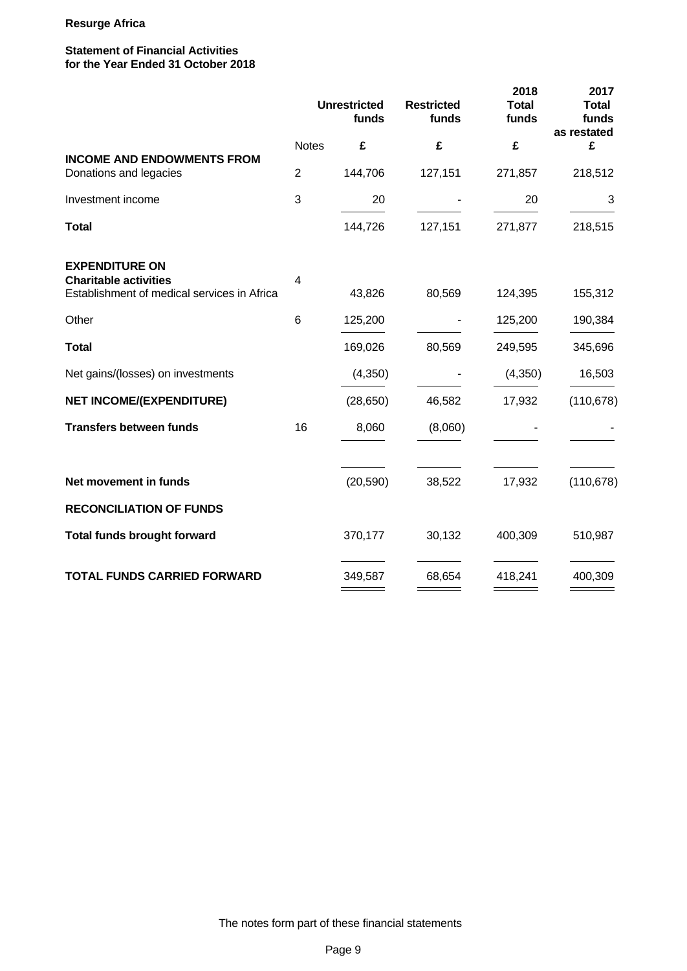# **Statement of Financial Activities for the Year Ended 31 October 2018**

|                                                             |                | <b>Unrestricted</b><br>funds | <b>Restricted</b><br>funds | 2018<br><b>Total</b><br>funds | 2017<br><b>Total</b><br>funds<br>as restated |
|-------------------------------------------------------------|----------------|------------------------------|----------------------------|-------------------------------|----------------------------------------------|
|                                                             | <b>Notes</b>   | £                            | £                          | £                             | £                                            |
| <b>INCOME AND ENDOWMENTS FROM</b><br>Donations and legacies | $\overline{2}$ | 144,706                      | 127,151                    | 271,857                       | 218,512                                      |
| Investment income                                           | 3              | 20                           |                            | 20                            | 3                                            |
| <b>Total</b>                                                |                | 144,726                      | 127,151                    | 271,877                       | 218,515                                      |
| <b>EXPENDITURE ON</b><br><b>Charitable activities</b>       | 4              |                              |                            |                               |                                              |
| Establishment of medical services in Africa                 |                | 43,826                       | 80,569                     | 124,395                       | 155,312                                      |
| Other                                                       | 6              | 125,200                      | $\overline{\phantom{a}}$   | 125,200                       | 190,384                                      |
| <b>Total</b>                                                |                | 169,026                      | 80,569                     | 249,595                       | 345,696                                      |
| Net gains/(losses) on investments                           |                | (4,350)                      |                            | (4, 350)                      | 16,503                                       |
| <b>NET INCOME/(EXPENDITURE)</b>                             |                | (28, 650)                    | 46,582                     | 17,932                        | (110, 678)                                   |
| <b>Transfers between funds</b>                              | 16             | 8,060                        | (8,060)                    |                               |                                              |
| Net movement in funds                                       |                | (20, 590)                    | 38,522                     | 17,932                        | (110, 678)                                   |
| <b>RECONCILIATION OF FUNDS</b>                              |                |                              |                            |                               |                                              |
| <b>Total funds brought forward</b>                          |                | 370,177                      | 30,132                     | 400,309                       | 510,987                                      |
| <b>TOTAL FUNDS CARRIED FORWARD</b>                          |                | 349,587                      | 68,654                     | 418,241                       | 400,309                                      |
|                                                             |                |                              |                            |                               |                                              |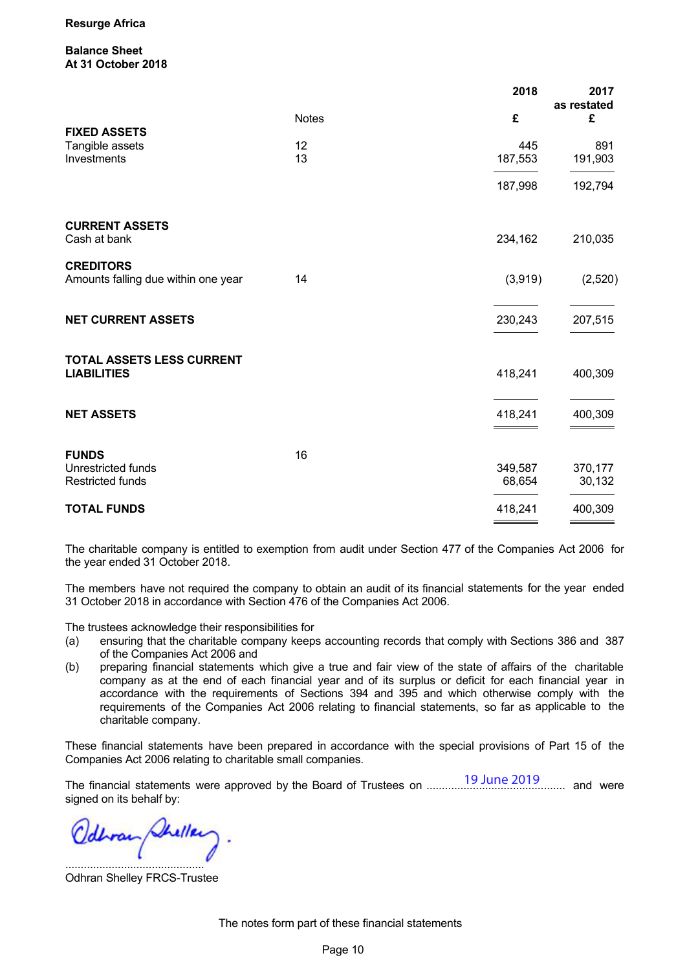**Balance Sheet At 31 October 2018**

|                                     |              | 2018    | 2017             |
|-------------------------------------|--------------|---------|------------------|
|                                     | <b>Notes</b> | £       | as restated<br>£ |
| <b>FIXED ASSETS</b>                 |              |         |                  |
| Tangible assets                     | 12           | 445     | 891              |
| Investments                         | 13           | 187,553 | 191,903          |
|                                     |              | 187,998 | 192,794          |
| <b>CURRENT ASSETS</b>               |              |         |                  |
| Cash at bank                        |              | 234,162 | 210,035          |
| <b>CREDITORS</b>                    |              |         |                  |
| Amounts falling due within one year | 14           | (3,919) | (2,520)          |
| <b>NET CURRENT ASSETS</b>           |              | 230,243 | 207,515          |
| TOTAL ASSETS LESS CURRENT           |              |         |                  |
| <b>LIABILITIES</b>                  |              | 418,241 | 400,309          |
| <b>NET ASSETS</b>                   |              | 418,241 | 400,309          |
|                                     |              |         |                  |
| <b>FUNDS</b>                        | 16           |         |                  |
| Unrestricted funds                  |              | 349,587 | 370,177          |
| <b>Restricted funds</b>             |              | 68,654  | 30,132           |
| <b>TOTAL FUNDS</b>                  |              | 418,241 | 400,309          |

The charitable company is entitled to exemption from audit under Section 477 of the Companies Act 2006 for the year ended 31 October 2018.

The members have not required the company to obtain an audit of its financial statements for the year ended 31 October 2018 in accordance with Section 476 of the Companies Act 2006.

The trustees acknowledge their responsibilities for

- (a) ensuring that the charitable company keeps accounting records that comply with Sections 386 and 387 of the Companies Act 2006 and
- (b) preparing financial statements which give a true and fair view of the state of affairs of the charitable company as at the end of each financial year and of its surplus or deficit for each financial year in accordance with the requirements of Sections 394 and 395 and which otherwise comply with the requirements of the Companies Act 2006 relating to financial statements, so far as applicable to the charitable company.

These financial statements have been prepared in accordance with the special provisions of Part 15 of the Companies Act 2006 relating to charitable small companies.

The financial statements were approved by the Board of Trustees on ............................................. and were signed on its behalf by: 19 June 2019

.............................................

Odhran Shelley FRCS-Trustee

The notes form part of these financial statements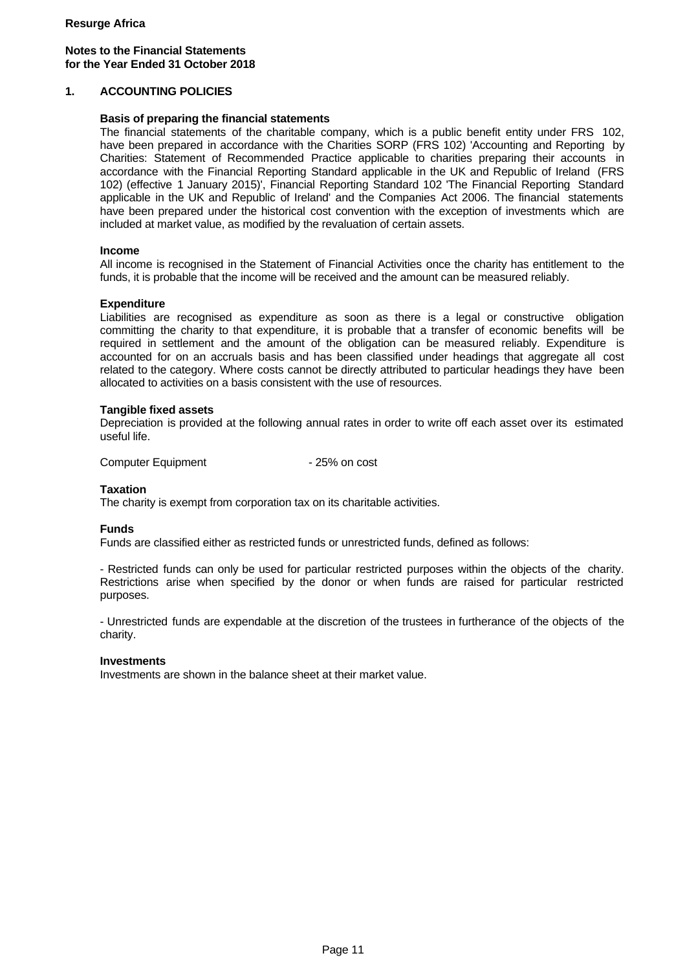# **Notes to the Financial Statements for the Year Ended 31 October 2018**

# **1. ACCOUNTING POLICIES**

#### **Basis of preparing the financial statements**

The financial statements of the charitable company, which is a public benefit entity under FRS 102, have been prepared in accordance with the Charities SORP (FRS 102) 'Accounting and Reporting by Charities: Statement of Recommended Practice applicable to charities preparing their accounts in accordance with the Financial Reporting Standard applicable in the UK and Republic of Ireland (FRS 102) (effective 1 January 2015)', Financial Reporting Standard 102 'The Financial Reporting Standard applicable in the UK and Republic of Ireland' and the Companies Act 2006. The financial statements have been prepared under the historical cost convention with the exception of investments which are included at market value, as modified by the revaluation of certain assets.

#### **Income**

All income is recognised in the Statement of Financial Activities once the charity has entitlement to the funds, it is probable that the income will be received and the amount can be measured reliably.

# **Expenditure**

Liabilities are recognised as expenditure as soon as there is a legal or constructive obligation committing the charity to that expenditure, it is probable that a transfer of economic benefits will be required in settlement and the amount of the obligation can be measured reliably. Expenditure is accounted for on an accruals basis and has been classified under headings that aggregate all cost related to the category. Where costs cannot be directly attributed to particular headings they have been allocated to activities on a basis consistent with the use of resources.

# **Tangible fixed assets**

Depreciation is provided at the following annual rates in order to write off each asset over its estimated useful life.

Computer Equipment - 25% on cost

# **Taxation**

The charity is exempt from corporation tax on its charitable activities.

#### **Funds**

Funds are classified either as restricted funds or unrestricted funds, defined as follows:

- Restricted funds can only be used for particular restricted purposes within the objects of the charity. Restrictions arise when specified by the donor or when funds are raised for particular restricted purposes.

- Unrestricted funds are expendable at the discretion of the trustees in furtherance of the objects of the charity.

#### **Investments**

Investments are shown in the balance sheet at their market value.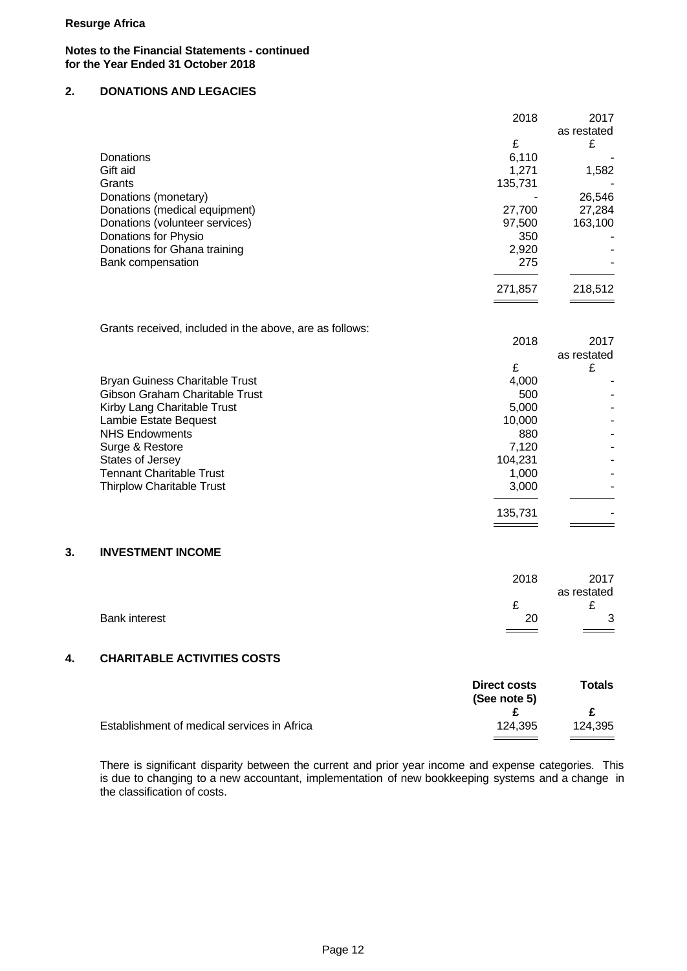#### **Notes to the Financial Statements - continued for the Year Ended 31 October 2018**

# **2. DONATIONS AND LEGACIES**

|                                | 2018    | 2017        |  |
|--------------------------------|---------|-------------|--|
|                                |         | as restated |  |
|                                | £       | £           |  |
| <b>Donations</b>               | 6,110   |             |  |
| Gift aid                       | 1,271   | 1,582       |  |
| Grants                         | 135,731 |             |  |
| Donations (monetary)           |         | 26,546      |  |
| Donations (medical equipment)  | 27,700  | 27,284      |  |
| Donations (volunteer services) | 97,500  | 163,100     |  |
| Donations for Physio           | 350     |             |  |
| Donations for Ghana training   | 2,920   |             |  |
| Bank compensation              | 275     |             |  |
|                                | 271,857 | 218,512     |  |
|                                |         |             |  |
|                                |         |             |  |

Grants received, included in the above, are as follows:

|                                  | 2018    | 2017        |
|----------------------------------|---------|-------------|
|                                  |         | as restated |
|                                  |         | £           |
| Bryan Guiness Charitable Trust   | 4,000   |             |
| Gibson Graham Charitable Trust   | 500     |             |
| Kirby Lang Charitable Trust      | 5,000   |             |
| Lambie Estate Bequest            | 10,000  |             |
| <b>NHS Endowments</b>            | 880     |             |
| Surge & Restore                  | 7,120   |             |
| States of Jersey                 | 104,231 |             |
| Tennant Charitable Trust         | 1,000   |             |
| <b>Thirplow Charitable Trust</b> | 3,000   |             |
|                                  |         |             |
|                                  | 135,731 |             |
|                                  |         |             |

#### **3. INVESTMENT INCOME**

|                      | 2018 | 2017                       |  |
|----------------------|------|----------------------------|--|
|                      |      | as restated                |  |
|                      |      | ~                          |  |
| <b>Bank interest</b> | 20   | ັ                          |  |
|                      | $=$  | $\equiv$ $\equiv$ $\equiv$ |  |

# **4. CHARITABLE ACTIVITIES COSTS**

|                                             | Direct costs<br>(See note 5) | <b>Totals</b> |  |
|---------------------------------------------|------------------------------|---------------|--|
|                                             |                              |               |  |
| Establishment of medical services in Africa | 124.395                      | 124.395       |  |
|                                             |                              |               |  |

There is significant disparity between the current and prior year income and expense categories. This is due to changing to a new accountant, implementation of new bookkeeping systems and a change in the classification of costs.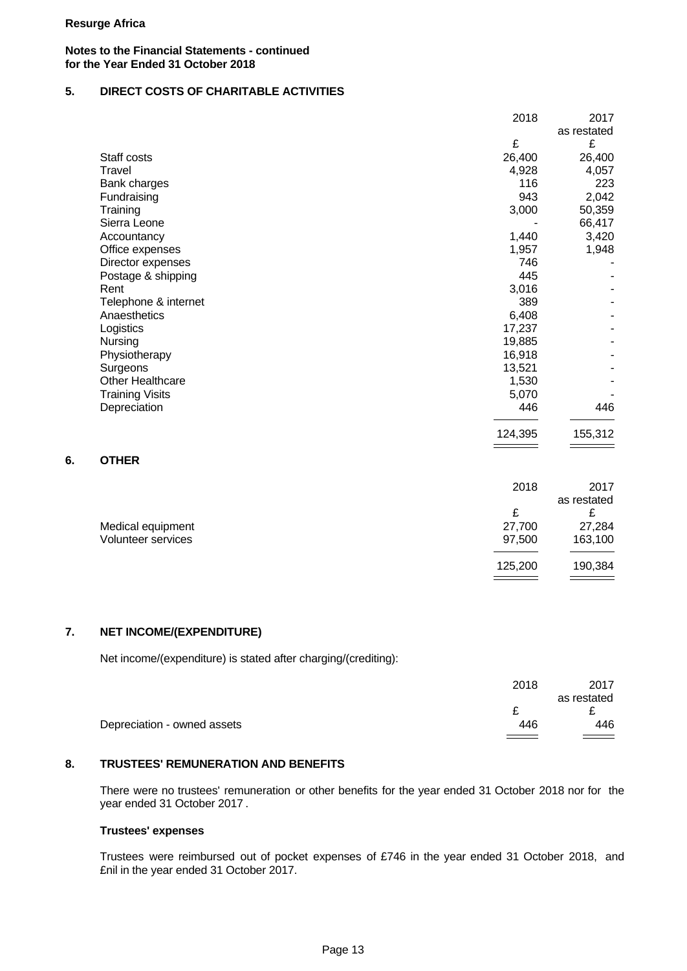#### **Notes to the Financial Statements - continued for the Year Ended 31 October 2018**

# **5. DIRECT COSTS OF CHARITABLE ACTIVITIES**

|                        | 2018    | 2017        |
|------------------------|---------|-------------|
|                        |         | as restated |
|                        | £       | £           |
| Staff costs            | 26,400  | 26,400      |
| Travel                 | 4,928   | 4,057       |
| Bank charges           | 116     | 223         |
| Fundraising            | 943     | 2,042       |
| Training               | 3,000   | 50,359      |
| Sierra Leone           |         | 66,417      |
| Accountancy            | 1,440   | 3,420       |
| Office expenses        | 1,957   | 1,948       |
| Director expenses      | 746     |             |
| Postage & shipping     | 445     |             |
| Rent                   | 3,016   |             |
| Telephone & internet   | 389     |             |
| Anaesthetics           | 6,408   |             |
| Logistics              | 17,237  |             |
| Nursing                | 19,885  |             |
| Physiotherapy          | 16,918  |             |
| Surgeons               | 13,521  |             |
| Other Healthcare       | 1,530   |             |
| <b>Training Visits</b> | 5,070   |             |
| Depreciation           | 446     | 446         |
|                        | 124,395 | 155,312     |
|                        |         |             |

# **6. OTHER**

|                    | 2018    | 2017        |  |
|--------------------|---------|-------------|--|
|                    |         | as restated |  |
|                    | t.      | c           |  |
| Medical equipment  | 27,700  | 27,284      |  |
| Volunteer services | 97,500  | 163,100     |  |
|                    |         |             |  |
|                    | 125,200 | 190,384     |  |
|                    |         |             |  |

# **7. NET INCOME/(EXPENDITURE)**

Net income/(expenditure) is stated after charging/(crediting):

|                             | 2018 | 2017        |  |
|-----------------------------|------|-------------|--|
|                             |      | as restated |  |
|                             | -    | -           |  |
| Depreciation - owned assets | 446  | 446         |  |
|                             |      |             |  |

#### **8. TRUSTEES' REMUNERATION AND BENEFITS**

There were no trustees' remuneration or other benefits for the year ended 31 October 2018 nor for the year ended 31 October 2017 .

# **Trustees' expenses**

Trustees were reimbursed out of pocket expenses of £746 in the year ended 31 October 2018, and £nil in the year ended 31 October 2017.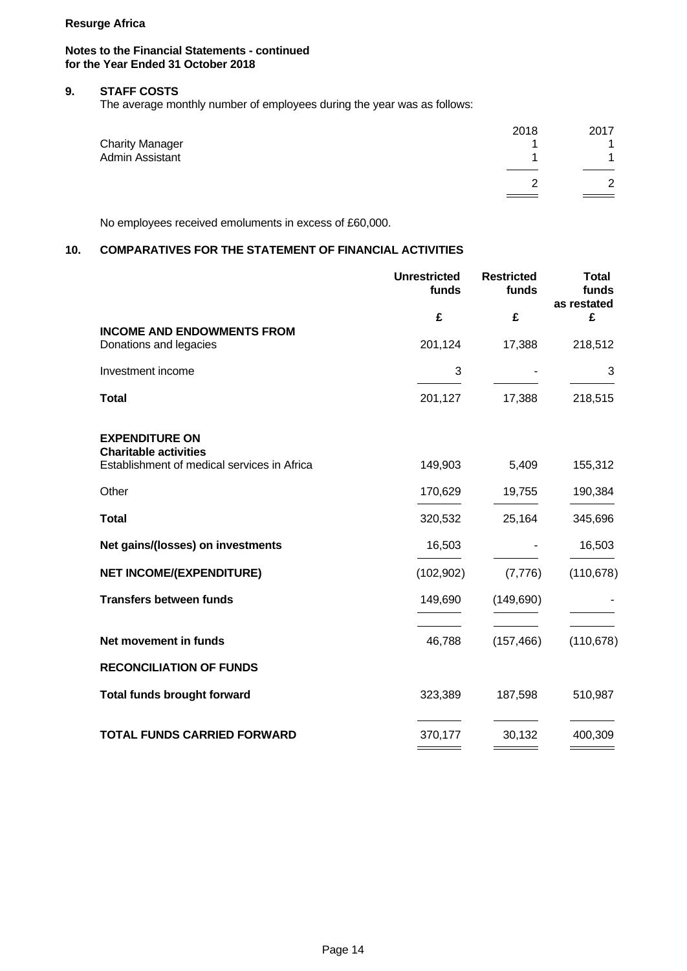# **Notes to the Financial Statements - continued for the Year Ended 31 October 2018**

# **9. STAFF COSTS**

The average monthly number of employees during the year was as follows:

| <b>Charity Manager</b><br>Admin Assistant | 2018 | 2017    |  |
|-------------------------------------------|------|---------|--|
|                                           |      | _______ |  |

No employees received emoluments in excess of £60,000.

# **10. COMPARATIVES FOR THE STATEMENT OF FINANCIAL ACTIVITIES**

|                                                             | <b>Unrestricted</b><br>funds | <b>Restricted</b><br>funds | <b>Total</b><br>funds<br>as restated |
|-------------------------------------------------------------|------------------------------|----------------------------|--------------------------------------|
|                                                             | £                            | £                          | £                                    |
| <b>INCOME AND ENDOWMENTS FROM</b><br>Donations and legacies | 201,124                      | 17,388                     | 218,512                              |
| Investment income                                           | 3                            |                            | 3                                    |
| <b>Total</b>                                                | 201,127                      | 17,388                     | 218,515                              |
| <b>EXPENDITURE ON</b><br><b>Charitable activities</b>       |                              |                            |                                      |
| Establishment of medical services in Africa                 | 149,903                      | 5,409                      | 155,312                              |
| Other                                                       | 170,629                      | 19,755                     | 190,384                              |
| <b>Total</b>                                                | 320,532                      | 25,164                     | 345,696                              |
| Net gains/(losses) on investments                           | 16,503                       |                            | 16,503                               |
| <b>NET INCOME/(EXPENDITURE)</b>                             | (102, 902)                   | (7,776)                    | (110, 678)                           |
| <b>Transfers between funds</b>                              | 149,690                      | (149, 690)                 |                                      |
| Net movement in funds                                       | 46,788                       | (157, 466)                 | (110, 678)                           |
| <b>RECONCILIATION OF FUNDS</b>                              |                              |                            |                                      |
| <b>Total funds brought forward</b>                          | 323,389                      | 187,598                    | 510,987                              |
| <b>TOTAL FUNDS CARRIED FORWARD</b>                          | 370,177                      | 30,132                     | 400,309                              |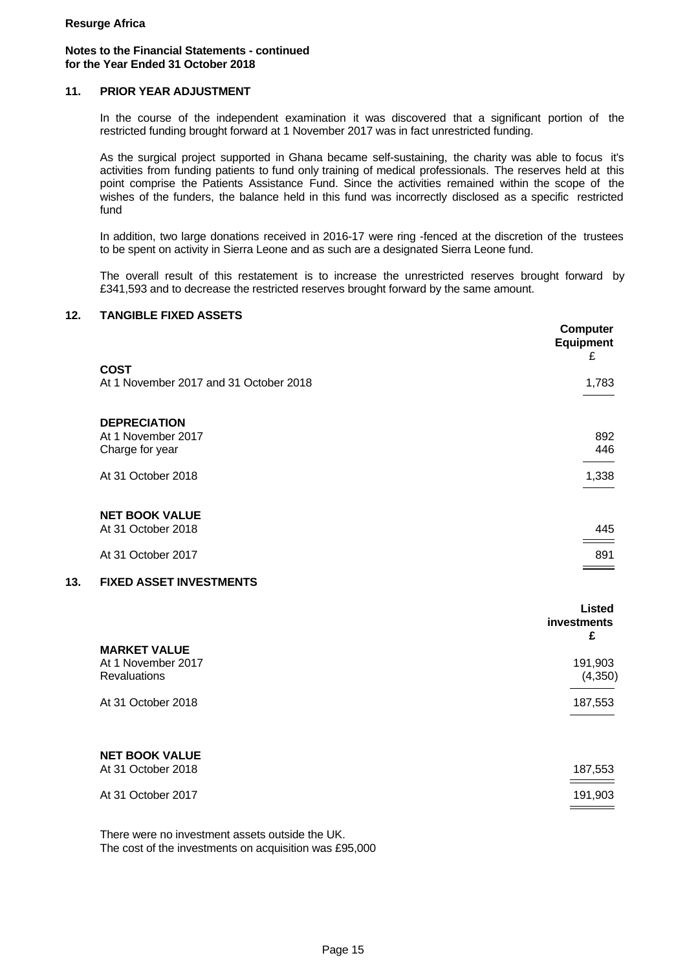# **Notes to the Financial Statements - continued for the Year Ended 31 October 2018**

# **11. PRIOR YEAR ADJUSTMENT**

In the course of the independent examination it was discovered that a significant portion of the restricted funding brought forward at 1 November 2017 was in fact unrestricted funding.

As the surgical project supported in Ghana became self-sustaining, the charity was able to focus it's activities from funding patients to fund only training of medical professionals. The reserves held at this point comprise the Patients Assistance Fund. Since the activities remained within the scope of the wishes of the funders, the balance held in this fund was incorrectly disclosed as a specific restricted fund

In addition, two large donations received in 2016-17 were ring -fenced at the discretion of the trustees to be spent on activity in Sierra Leone and as such are a designated Sierra Leone fund.

The overall result of this restatement is to increase the unrestricted reserves brought forward by £341,593 and to decrease the restricted reserves brought forward by the same amount.

# **12. TANGIBLE FIXED ASSETS**

|     |                                        | Computer<br><b>Equipment</b><br>£ |
|-----|----------------------------------------|-----------------------------------|
|     | <b>COST</b>                            |                                   |
|     | At 1 November 2017 and 31 October 2018 | 1,783                             |
|     | <b>DEPRECIATION</b>                    |                                   |
|     | At 1 November 2017                     | 892                               |
|     | Charge for year                        | 446                               |
|     | At 31 October 2018                     | 1,338                             |
|     |                                        |                                   |
|     | <b>NET BOOK VALUE</b>                  |                                   |
|     | At 31 October 2018                     | 445                               |
|     | At 31 October 2017                     | 891                               |
|     |                                        |                                   |
| 13. | <b>FIXED ASSET INVESTMENTS</b>         |                                   |
|     |                                        | <b>Listed</b>                     |
|     |                                        | investments<br>£                  |
|     | <b>MARKET VALUE</b>                    |                                   |
|     | At 1 November 2017                     | 191,903                           |
|     | Revaluations                           | (4, 350)                          |
|     | At 31 October 2018                     | 187,553                           |
|     |                                        |                                   |
|     | <b>NET BOOK VALUE</b>                  |                                   |
|     | At 31 October 2018                     | 187,553                           |
|     | At 31 October 2017                     | 191,903                           |
|     |                                        |                                   |

There were no investment assets outside the UK. The cost of the investments on acquisition was £95,000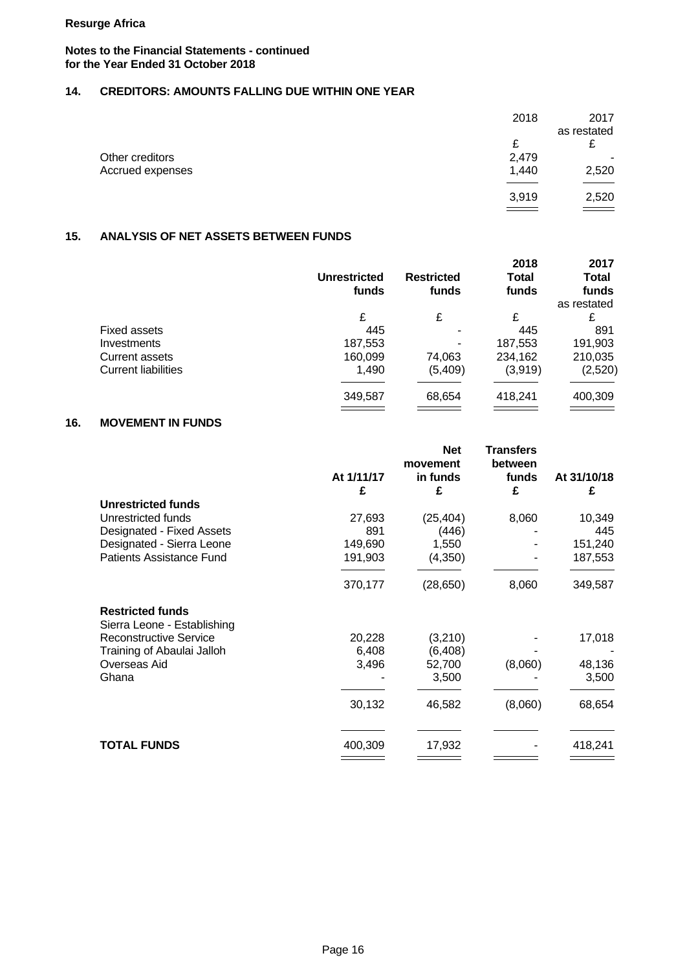# **Notes to the Financial Statements - continued for the Year Ended 31 October 2018**

# **14. CREDITORS: AMOUNTS FALLING DUE WITHIN ONE YEAR**

|                  | 2018                           | 2017                     |
|------------------|--------------------------------|--------------------------|
|                  |                                | as restated              |
|                  | c<br>~                         | £                        |
| Other creditors  | 2,479                          | $\overline{\phantom{a}}$ |
| Accrued expenses | 1,440                          | 2,520                    |
|                  | $\overbrace{\hspace{25mm}}^{}$ |                          |
|                  | 3,919                          | 2,520                    |
|                  | $\overline{\phantom{a}}$       | $\equiv$                 |

# **15. ANALYSIS OF NET ASSETS BETWEEN FUNDS**

|                            | <b>Unrestricted</b><br>funds | <b>Restricted</b><br>funds | 2018<br>Total<br>funds | 2017<br><b>Total</b><br>funds<br>as restated |
|----------------------------|------------------------------|----------------------------|------------------------|----------------------------------------------|
|                            | £                            | £                          | £                      | £                                            |
| <b>Fixed assets</b>        | 445                          |                            | 445                    | 891                                          |
| Investments                | 187,553                      | ۰                          | 187,553                | 191,903                                      |
| Current assets             | 160,099                      | 74,063                     | 234,162                | 210,035                                      |
| <b>Current liabilities</b> | 1,490                        | (5,409)                    | (3,919)                | (2,520)                                      |
|                            | 349,587                      | 68,654                     | 418,241                | 400,309                                      |

# **16. MOVEMENT IN FUNDS**

|                                            | At 1/11/17<br>£ | <b>Net</b><br>movement<br>in funds<br>£ | <b>Transfers</b><br>between<br>funds<br>£ | At 31/10/18<br>£ |
|--------------------------------------------|-----------------|-----------------------------------------|-------------------------------------------|------------------|
| <b>Unrestricted funds</b>                  |                 |                                         |                                           |                  |
| Unrestricted funds                         | 27,693          | (25, 404)                               | 8,060                                     | 10,349           |
| Designated - Fixed Assets                  | 891             | (446)                                   |                                           | 445              |
| Designated - Sierra Leone                  | 149,690         | 1,550                                   |                                           | 151,240          |
| <b>Patients Assistance Fund</b>            | 191,903         | (4,350)                                 |                                           | 187,553          |
|                                            | 370,177         | (28, 650)                               | 8,060                                     | 349,587          |
| <b>Restricted funds</b>                    |                 |                                         |                                           |                  |
| Sierra Leone - Establishing                |                 |                                         |                                           |                  |
| <b>Reconstructive Service</b>              | 20,228<br>6,408 | (3,210)                                 |                                           | 17,018           |
| Training of Abaulai Jalloh<br>Overseas Aid | 3,496           | (6, 408)<br>52,700                      | (8,060)                                   | 48,136           |
| Ghana                                      |                 | 3,500                                   |                                           | 3,500            |
|                                            |                 |                                         |                                           |                  |
|                                            | 30,132          | 46,582                                  | (8,060)                                   | 68,654           |
| <b>TOTAL FUNDS</b>                         | 400,309         | 17,932                                  |                                           | 418,241          |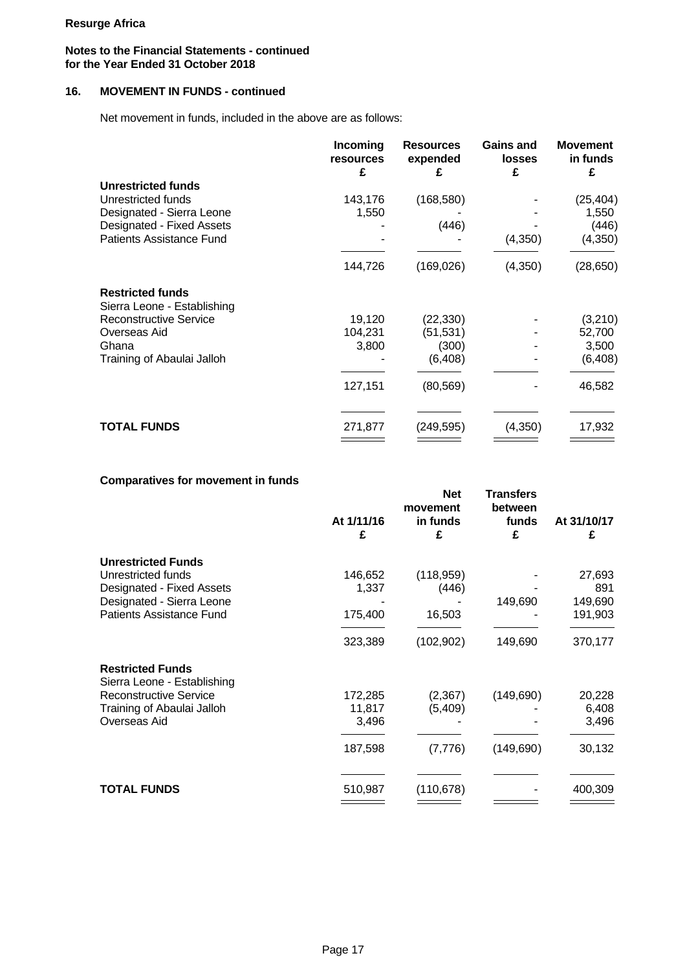# **Notes to the Financial Statements - continued for the Year Ended 31 October 2018**

# **16. MOVEMENT IN FUNDS - continued**

Net movement in funds, included in the above are as follows:

|                                     | Incoming<br>resources<br>£ | <b>Resources</b><br>expended<br>£ | <b>Gains and</b><br><b>losses</b><br>£ | <b>Movement</b><br>in funds<br>£ |  |
|-------------------------------------|----------------------------|-----------------------------------|----------------------------------------|----------------------------------|--|
| <b>Unrestricted funds</b>           |                            |                                   |                                        |                                  |  |
| Unrestricted funds                  | 143,176                    | (168, 580)                        |                                        | (25, 404)                        |  |
| Designated - Sierra Leone           | 1,550                      |                                   |                                        | 1,550                            |  |
| Designated - Fixed Assets           |                            | (446)                             |                                        | (446)                            |  |
| <b>Patients Assistance Fund</b>     |                            |                                   | (4, 350)                               | (4,350)                          |  |
|                                     | 144,726                    | (169, 026)                        | (4, 350)                               | (28, 650)                        |  |
| <b>Restricted funds</b>             |                            |                                   |                                        |                                  |  |
| Sierra Leone - Establishing         |                            |                                   |                                        |                                  |  |
| <b>Reconstructive Service</b>       | 19,120                     | (22, 330)                         |                                        | (3,210)                          |  |
| Overseas Aid                        | 104,231                    | (51, 531)                         |                                        | 52,700                           |  |
| Ghana<br>Training of Abaulai Jalloh | 3,800                      | (300)<br>(6, 408)                 |                                        | 3,500<br>(6, 408)                |  |
|                                     |                            |                                   |                                        |                                  |  |
|                                     | 127,151                    | (80, 569)                         |                                        | 46,582                           |  |
|                                     |                            |                                   |                                        |                                  |  |
| <b>TOTAL FUNDS</b>                  | 271,877                    | (249,595)                         | (4,350)                                | 17,932                           |  |
|                                     |                            |                                   |                                        |                                  |  |

# **Comparatives for movement in funds**

|                                                        | At 1/11/16<br>£ | <b>Net</b><br>movement<br>in funds<br>£ | <b>Transfers</b><br>between<br>funds<br>£ | At 31/10/17<br>£ |  |
|--------------------------------------------------------|-----------------|-----------------------------------------|-------------------------------------------|------------------|--|
| <b>Unrestricted Funds</b>                              |                 |                                         |                                           |                  |  |
| Unrestricted funds                                     | 146,652         | (118,959)                               |                                           | 27,693           |  |
| Designated - Fixed Assets                              | 1,337           | (446)                                   |                                           | 891              |  |
| Designated - Sierra Leone                              |                 |                                         | 149,690                                   | 149,690          |  |
| <b>Patients Assistance Fund</b>                        | 175,400         | 16,503                                  |                                           | 191,903          |  |
|                                                        | 323,389         | (102, 902)                              | 149,690                                   | 370,177          |  |
| <b>Restricted Funds</b><br>Sierra Leone - Establishing |                 |                                         |                                           |                  |  |
| <b>Reconstructive Service</b>                          | 172,285         | (2,367)                                 | (149, 690)                                | 20,228           |  |
| Training of Abaulai Jalloh                             | 11,817          | (5,409)                                 |                                           | 6,408            |  |
| Overseas Aid                                           | 3,496           |                                         |                                           | 3,496            |  |
|                                                        | 187,598         | (7, 776)                                | (149, 690)                                | 30,132           |  |
| <b>TOTAL FUNDS</b>                                     | 510,987         | (110, 678)                              |                                           | 400,309          |  |
|                                                        |                 |                                         |                                           |                  |  |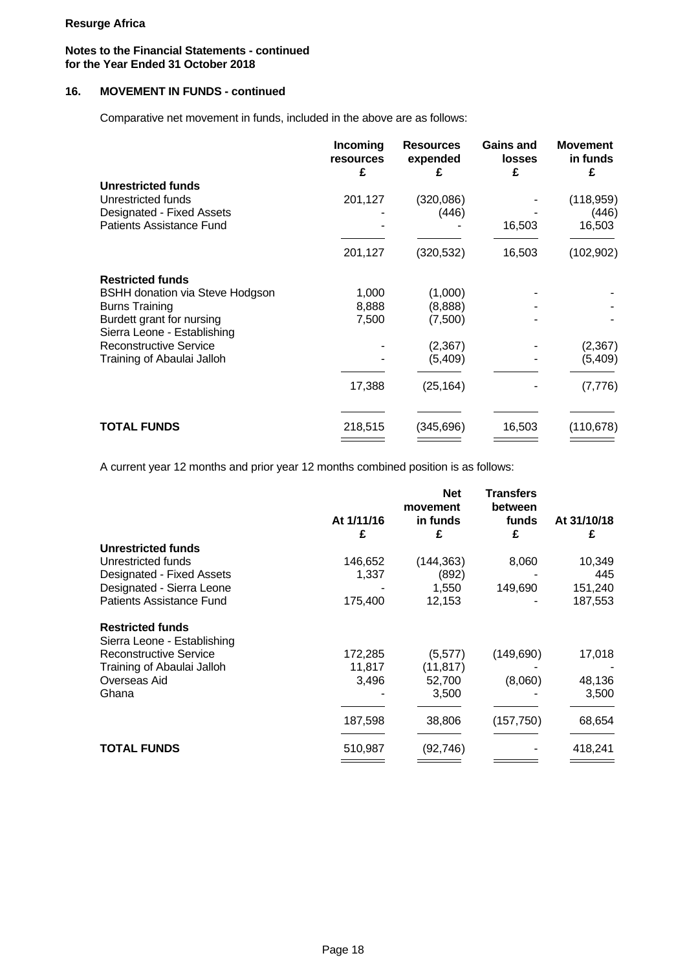# **Notes to the Financial Statements - continued for the Year Ended 31 October 2018**

# **16. MOVEMENT IN FUNDS - continued**

Comparative net movement in funds, included in the above are as follows:

|                                                          | Incoming<br>resources<br>£ | <b>Resources</b><br>expended<br>£ | <b>Gains and</b><br><b>losses</b><br>£ | <b>Movement</b><br>in funds<br>£ |  |
|----------------------------------------------------------|----------------------------|-----------------------------------|----------------------------------------|----------------------------------|--|
| <b>Unrestricted funds</b>                                |                            |                                   |                                        |                                  |  |
| Unrestricted funds                                       | 201,127                    | (320,086)                         |                                        | (118, 959)                       |  |
| Designated - Fixed Assets                                |                            | (446)                             |                                        | (446)                            |  |
| Patients Assistance Fund                                 |                            |                                   | 16,503                                 | 16,503                           |  |
|                                                          | 201,127                    | (320, 532)                        | 16,503                                 | (102, 902)                       |  |
| <b>Restricted funds</b>                                  |                            |                                   |                                        |                                  |  |
| <b>BSHH donation via Steve Hodgson</b>                   | 1,000                      | (1,000)                           |                                        |                                  |  |
| <b>Burns Training</b>                                    | 8,888                      | (8,888)                           |                                        |                                  |  |
| Burdett grant for nursing<br>Sierra Leone - Establishing | 7,500                      | (7,500)                           |                                        |                                  |  |
| <b>Reconstructive Service</b>                            |                            | (2, 367)                          |                                        | (2,367)                          |  |
| Training of Abaulai Jalloh                               |                            | (5,409)                           |                                        | (5,409)                          |  |
|                                                          | 17,388                     | (25, 164)                         |                                        | (7, 776)                         |  |
|                                                          |                            |                                   |                                        |                                  |  |
| <b>TOTAL FUNDS</b>                                       | 218,515                    | (345, 696)                        | 16,503                                 | (110, 678)                       |  |

A current year 12 months and prior year 12 months combined position is as follows:

|                               | At 1/11/16 | <b>Net</b><br>movement<br>in funds | <b>Transfers</b><br>between<br>funds | At 31/10/18 |  |
|-------------------------------|------------|------------------------------------|--------------------------------------|-------------|--|
|                               | £          | £                                  | £                                    | £           |  |
| <b>Unrestricted funds</b>     |            |                                    |                                      |             |  |
| Unrestricted funds            | 146,652    | (144, 363)                         | 8,060                                | 10,349      |  |
| Designated - Fixed Assets     | 1,337      | (892)                              |                                      | 445         |  |
| Designated - Sierra Leone     |            | 1,550                              | 149,690                              | 151,240     |  |
| Patients Assistance Fund      | 175,400    | 12,153                             |                                      | 187,553     |  |
| <b>Restricted funds</b>       |            |                                    |                                      |             |  |
| Sierra Leone - Establishing   |            |                                    |                                      |             |  |
| <b>Reconstructive Service</b> | 172,285    | (5, 577)                           | (149,690)                            | 17,018      |  |
| Training of Abaulai Jalloh    | 11,817     | (11, 817)                          |                                      |             |  |
| Overseas Aid                  | 3,496      | 52,700                             | (8,060)                              | 48,136      |  |
| Ghana                         |            | 3,500                              |                                      | 3,500       |  |
|                               | 187,598    | 38,806                             | (157, 750)                           | 68,654      |  |
| <b>TOTAL FUNDS</b>            | 510,987    | (92, 746)                          |                                      | 418,241     |  |
|                               |            |                                    |                                      |             |  |